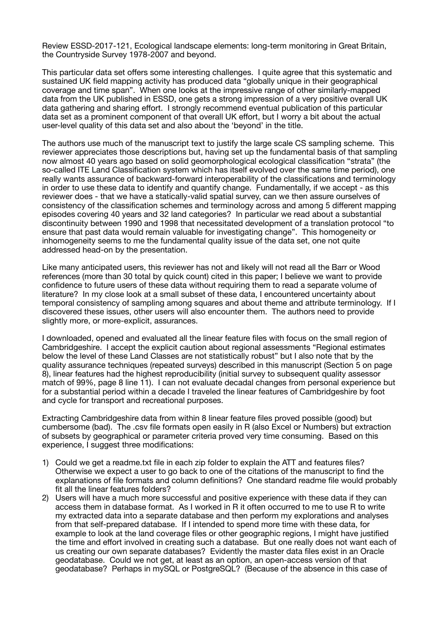Review ESSD-2017-121, Ecological landscape elements: long-term monitoring in Great Britain, the Countryside Survey 1978-2007 and beyond.

This particular data set offers some interesting challenges. I quite agree that this systematic and sustained UK field mapping activity has produced data "globally unique in their geographical coverage and time span". When one looks at the impressive range of other similarly-mapped data from the UK published in ESSD, one gets a strong impression of a very positive overall UK data gathering and sharing effort. I strongly recommend eventual publication of this particular data set as a prominent component of that overall UK effort, but I worry a bit about the actual user-level quality of this data set and also about the 'beyond' in the title.

The authors use much of the manuscript text to justify the large scale CS sampling scheme. This reviewer appreciates those descriptions but, having set up the fundamental basis of that sampling now almost 40 years ago based on solid geomorphological ecological classification "strata" (the so-called ITE Land Classification system which has itself evolved over the same time period), one really wants assurance of backward-forward interoperability of the classifications and terminology in order to use these data to identify and quantify change. Fundamentally, if we accept - as this reviewer does - that we have a statically-valid spatial survey, can we then assure ourselves of consistency of the classification schemes and terminology across and among 5 different mapping episodes covering 40 years and 32 land categories? In particular we read about a substantial discontinuity between 1990 and 1998 that necessitated development of a translation protocol "to ensure that past data would remain valuable for investigating change". This homogeneity or inhomogeneity seems to me the fundamental quality issue of the data set, one not quite addressed head-on by the presentation.

Like many anticipated users, this reviewer has not and likely will not read all the Barr or Wood references (more than 30 total by quick count) cited in this paper; I believe we want to provide confidence to future users of these data without requiring them to read a separate volume of literature? In my close look at a small subset of these data, I encountered uncertainty about temporal consistency of sampling among squares and about theme and attribute terminology. If I discovered these issues, other users will also encounter them. The authors need to provide slightly more, or more-explicit, assurances.

I downloaded, opened and evaluated all the linear feature files with focus on the small region of Cambridgeshire. I accept the explicit caution about regional assessments "Regional estimates below the level of these Land Classes are not statistically robust" but I also note that by the quality assurance techniques (repeated surveys) described in this manuscript (Section 5 on page 8), linear features had the highest reproducibility (initial survey to subsequent quality assessor match of 99%, page 8 line 11). I can not evaluate decadal changes from personal experience but for a substantial period within a decade I traveled the linear features of Cambridgeshire by foot and cycle for transport and recreational purposes.

Extracting Cambridgeshire data from within 8 linear feature files proved possible (good) but cumbersome (bad). The .csv file formats open easily in R (also Excel or Numbers) but extraction of subsets by geographical or parameter criteria proved very time consuming. Based on this experience, I suggest three modifications:

- 1) Could we get a readme.txt file in each zip folder to explain the ATT and features files? Otherwise we expect a user to go back to one of the citations of the manuscript to find the explanations of file formats and column definitions? One standard readme file would probably fit all the linear features folders?
- 2) Users will have a much more successful and positive experience with these data if they can access them in database format. As I worked in R it often occurred to me to use R to write my extracted data into a separate database and then perform my explorations and analyses from that self-prepared database. If I intended to spend more time with these data, for example to look at the land coverage files or other geographic regions, I might have justified the time and effort involved in creating such a database. But one really does not want each of us creating our own separate databases? Evidently the master data files exist in an Oracle geodatabase. Could we not get, at least as an option, an open-access version of that geodatabase? Perhaps in mySQL or PostgreSQL? (Because of the absence in this case of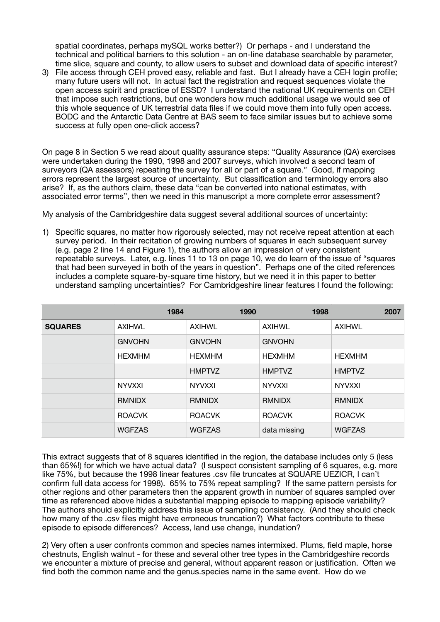spatial coordinates, perhaps mySQL works better?) Or perhaps - and I understand the technical and political barriers to this solution - an on-line database searchable by parameter, time slice, square and county, to allow users to subset and download data of specific interest?

3) File access through CEH proved easy, reliable and fast. But I already have a CEH login profile; many future users will not. In actual fact the registration and request sequences violate the open access spirit and practice of ESSD? I understand the national UK requirements on CEH that impose such restrictions, but one wonders how much additional usage we would see of this whole sequence of UK terrestrial data files if we could move them into fully open access. BODC and the Antarctic Data Centre at BAS seem to face similar issues but to achieve some success at fully open one-click access?

On page 8 in Section 5 we read about quality assurance steps: "Quality Assurance (QA) exercises were undertaken during the 1990, 1998 and 2007 surveys, which involved a second team of surveyors (QA assessors) repeating the survey for all or part of a square." Good, if mapping errors represent the largest source of uncertainty. But classification and terminology errors also arise? If, as the authors claim, these data "can be converted into national estimates, with associated error terms", then we need in this manuscript a more complete error assessment?

My analysis of the Cambridgeshire data suggest several additional sources of uncertainty:

1) Specific squares, no matter how rigorously selected, may not receive repeat attention at each survey period. In their recitation of growing numbers of squares in each subsequent survey (e.g. page 2 line 14 and Figure 1), the authors allow an impression of very consistent repeatable surveys. Later, e.g. lines 11 to 13 on page 10, we do learn of the issue of "squares that had been surveyed in both of the years in question". Perhaps one of the cited references includes a complete square-by-square time history, but we need it in this paper to better understand sampling uncertainties? For Cambridgeshire linear features I found the following:

|                | 1984          | 1990          | 1998          | 2007          |
|----------------|---------------|---------------|---------------|---------------|
| <b>SQUARES</b> | <b>AXIHWL</b> | <b>AXIHWL</b> | <b>AXIHWL</b> | <b>AXIHWL</b> |
|                | <b>GNVOHN</b> | <b>GNVOHN</b> | <b>GNVOHN</b> |               |
|                | <b>HEXMHM</b> | <b>HEXMHM</b> | <b>HEXMHM</b> | <b>HEXMHM</b> |
|                |               | <b>HMPTVZ</b> | <b>HMPTVZ</b> | <b>HMPTVZ</b> |
|                | <b>NYVXXI</b> | <b>NYVXXI</b> | <b>NYVXXI</b> | <b>NYVXXI</b> |
|                | <b>RMNIDX</b> | <b>RMNIDX</b> | <b>RMNIDX</b> | <b>RMNIDX</b> |
|                | <b>ROACVK</b> | <b>ROACVK</b> | <b>ROACVK</b> | <b>ROACVK</b> |
|                | <b>WGFZAS</b> | <b>WGFZAS</b> | data missing  | <b>WGFZAS</b> |

This extract suggests that of 8 squares identified in the region, the database includes only 5 (less than 65%!) for which we have actual data? (I suspect consistent sampling of 6 squares, e.g. more like 75%, but because the 1998 linear features .csv file truncates at SQUARE UEZICR, I can't confirm full data access for 1998). 65% to 75% repeat sampling? If the same pattern persists for other regions and other parameters then the apparent growth in number of squares sampled over time as referenced above hides a substantial mapping episode to mapping episode variability? The authors should explicitly address this issue of sampling consistency. (And they should check how many of the .csv files might have erroneous truncation?) What factors contribute to these episode to episode differences? Access, land use change, inundation?

2) Very often a user confronts common and species names intermixed. Plums, field maple, horse chestnuts, English walnut - for these and several other tree types in the Cambridgeshire records we encounter a mixture of precise and general, without apparent reason or justification. Often we find both the common name and the genus.species name in the same event. How do we